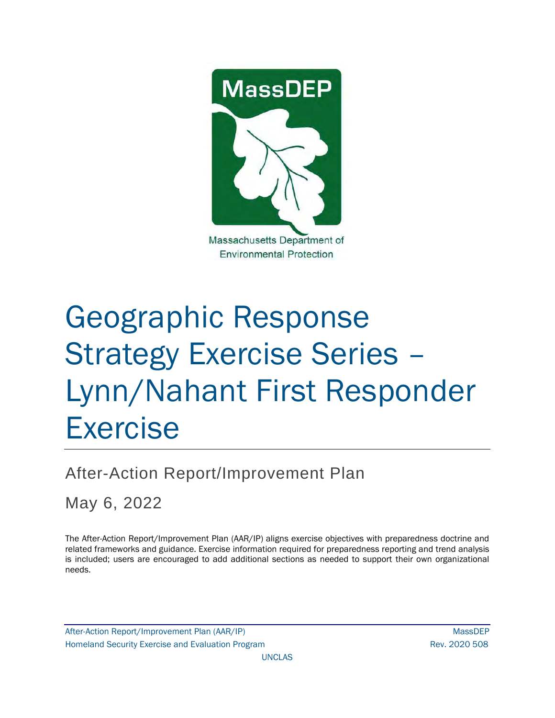

# Geographic Response Strategy Exercise Series – Lynn/Nahant First Responder Exercise

# After-Action Report/Improvement Plan

May 6, 2022

The After-Action Report/Improvement Plan (AAR/IP) aligns exercise objectives with preparedness doctrine and related frameworks and guidance. Exercise information required for preparedness reporting and trend analysis is included; users are encouraged to add additional sections as needed to support their own organizational needs.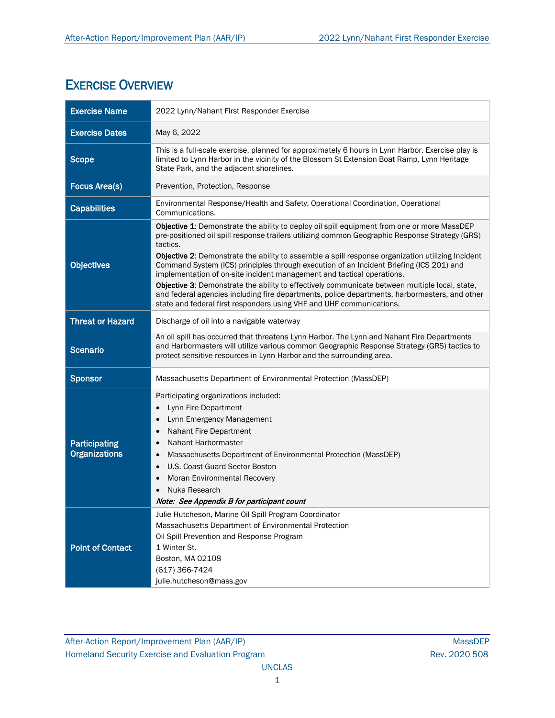## EXERCISE OVERVIEW

| <b>Exercise Name</b>                         | 2022 Lynn/Nahant First Responder Exercise                                                                                                                                                                                                                                                                                                                                                                                                                                                                                                                                                                                                                                                                                                                      |
|----------------------------------------------|----------------------------------------------------------------------------------------------------------------------------------------------------------------------------------------------------------------------------------------------------------------------------------------------------------------------------------------------------------------------------------------------------------------------------------------------------------------------------------------------------------------------------------------------------------------------------------------------------------------------------------------------------------------------------------------------------------------------------------------------------------------|
| <b>Exercise Dates</b>                        | May 6, 2022                                                                                                                                                                                                                                                                                                                                                                                                                                                                                                                                                                                                                                                                                                                                                    |
| <b>Scope</b>                                 | This is a full-scale exercise, planned for approximately 6 hours in Lynn Harbor. Exercise play is<br>limited to Lynn Harbor in the vicinity of the Blossom St Extension Boat Ramp, Lynn Heritage<br>State Park, and the adjacent shorelines.                                                                                                                                                                                                                                                                                                                                                                                                                                                                                                                   |
| <b>Focus Area(s)</b>                         | Prevention, Protection, Response                                                                                                                                                                                                                                                                                                                                                                                                                                                                                                                                                                                                                                                                                                                               |
| <b>Capabilities</b>                          | Environmental Response/Health and Safety, Operational Coordination, Operational<br>Communications.                                                                                                                                                                                                                                                                                                                                                                                                                                                                                                                                                                                                                                                             |
| <b>Objectives</b>                            | Objective 1: Demonstrate the ability to deploy oil spill equipment from one or more MassDEP<br>pre-positioned oil spill response trailers utilizing common Geographic Response Strategy (GRS)<br>tactics.<br>Objective 2: Demonstrate the ability to assemble a spill response organization utilizing Incident<br>Command System (ICS) principles through execution of an Incident Briefing (ICS 201) and<br>implementation of on-site incident management and tactical operations.<br>Objective 3: Demonstrate the ability to effectively communicate between multiple local, state,<br>and federal agencies including fire departments, police departments, harbormasters, and other<br>state and federal first responders using VHF and UHF communications. |
| <b>Threat or Hazard</b>                      | Discharge of oil into a navigable waterway                                                                                                                                                                                                                                                                                                                                                                                                                                                                                                                                                                                                                                                                                                                     |
| <b>Scenario</b>                              | An oil spill has occurred that threatens Lynn Harbor. The Lynn and Nahant Fire Departments<br>and Harbormasters will utilize various common Geographic Response Strategy (GRS) tactics to<br>protect sensitive resources in Lynn Harbor and the surrounding area.                                                                                                                                                                                                                                                                                                                                                                                                                                                                                              |
| <b>Sponsor</b>                               | Massachusetts Department of Environmental Protection (MassDEP)                                                                                                                                                                                                                                                                                                                                                                                                                                                                                                                                                                                                                                                                                                 |
| <b>Participating</b><br><b>Organizations</b> | Participating organizations included:<br>Lynn Fire Department<br>$\bullet$<br>Lynn Emergency Management<br>$\bullet$<br>Nahant Fire Department<br>٠<br>Nahant Harbormaster<br>Massachusetts Department of Environmental Protection (MassDEP)<br>U.S. Coast Guard Sector Boston<br>Moran Environmental Recovery<br>Nuka Research<br>Note: See Appendix B for participant count                                                                                                                                                                                                                                                                                                                                                                                  |
| <b>Point of Contact</b>                      | Julie Hutcheson, Marine Oil Spill Program Coordinator<br>Massachusetts Department of Environmental Protection<br>Oil Spill Prevention and Response Program<br>1 Winter St.<br>Boston, MA 02108<br>(617) 366-7424<br>julie.hutcheson@mass.gov                                                                                                                                                                                                                                                                                                                                                                                                                                                                                                                   |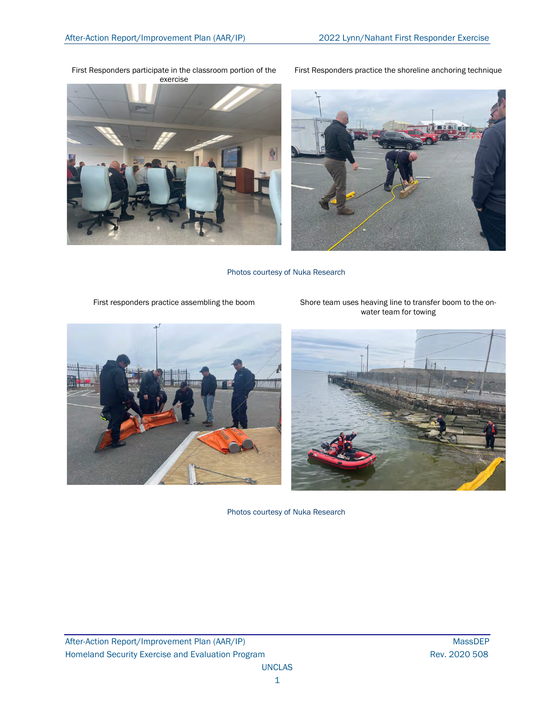

First Responders participate in the classroom portion of the

First Responders practice the shoreline anchoring technique



Photos courtesy of Nuka Research

First responders practice assembling the boom Shore team uses heaving line to transfer boom to the on-



water team for towing

Photos courtesy of Nuka Research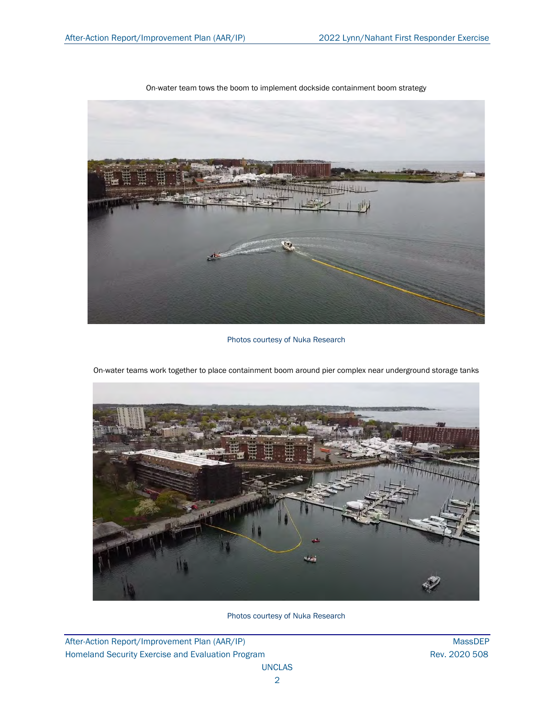

On-water team tows the boom to implement dockside containment boom strategy

Photos courtesy of Nuka Research



On-water teams work together to place containment boom around pier complex near underground storage tanks

Photos courtesy of Nuka Research

After-Action Report/Improvement Plan (AAR/IP) MassDEP Homeland Security Exercise and Evaluation Program **Rev. 2020 508** Rev. 2020 508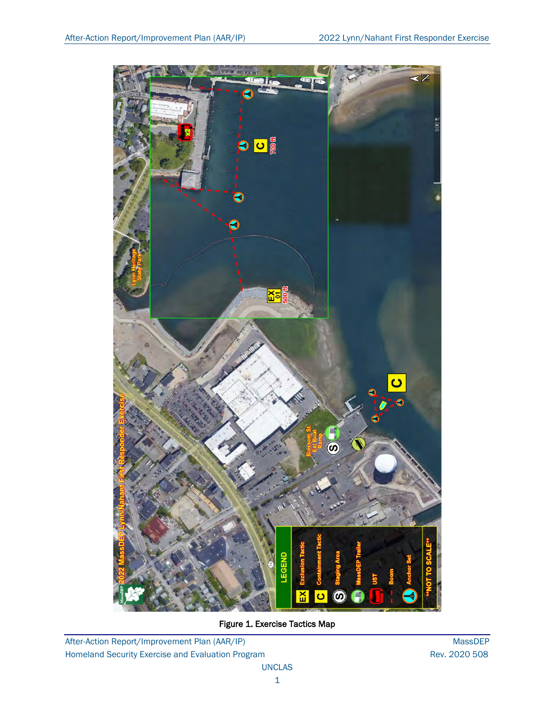

Figure 1. Exercise Tactics Map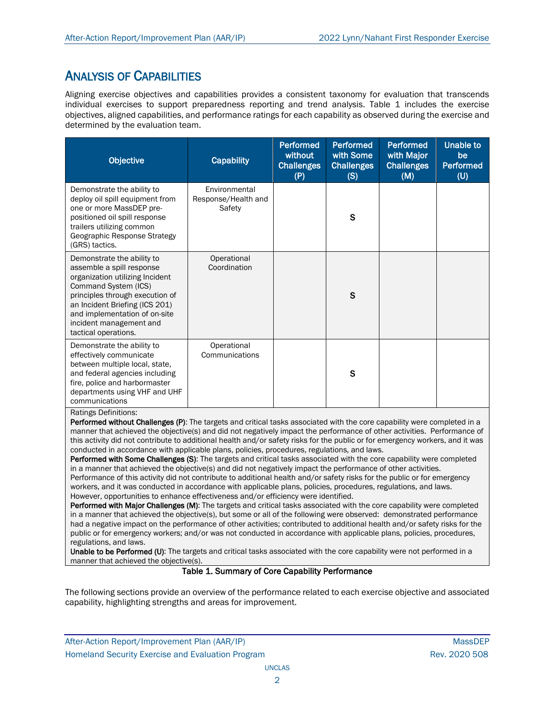## ANALYSIS OF CAPABILITIES

Aligning exercise objectives and capabilities provides a consistent taxonomy for evaluation that transcends individual exercises to support preparedness reporting and trend analysis. Table 1 includes the exercise objectives, aligned capabilities, and performance ratings for each capability as observed during the exercise and determined by the evaluation team.

| <b>Capability</b>                              | <b>Performed</b><br>without<br><b>Challenges</b><br>(P) | <b>Performed</b><br>with Some<br><b>Challenges</b><br>(S) | <b>Performed</b><br>with Major<br><b>Challenges</b><br>(M) | <b>Unable to</b><br>be<br><b>Performed</b><br>(U) |
|------------------------------------------------|---------------------------------------------------------|-----------------------------------------------------------|------------------------------------------------------------|---------------------------------------------------|
| Environmental<br>Response/Health and<br>Safety |                                                         | $\mathbf S$                                               |                                                            |                                                   |
| Operational<br>Coordination                    |                                                         | S                                                         |                                                            |                                                   |
| Operational<br>Communications                  |                                                         | S                                                         |                                                            |                                                   |
|                                                |                                                         |                                                           |                                                            |                                                   |

Performed without Challenges (P): The targets and critical tasks associated with the core capability were completed in a manner that achieved the objective(s) and did not negatively impact the performance of other activities. Performance of this activity did not contribute to additional health and/or safety risks for the public or for emergency workers, and it was conducted in accordance with applicable plans, policies, procedures, regulations, and laws.

Performed with Some Challenges (S): The targets and critical tasks associated with the core capability were completed in a manner that achieved the objective(s) and did not negatively impact the performance of other activities. Performance of this activity did not contribute to additional health and/or safety risks for the public or for emergency workers, and it was conducted in accordance with applicable plans, policies, procedures, regulations, and laws. However, opportunities to enhance effectiveness and/or efficiency were identified.

Performed with Major Challenges (M): The targets and critical tasks associated with the core capability were completed in a manner that achieved the objective(s), but some or all of the following were observed: demonstrated performance had a negative impact on the performance of other activities; contributed to additional health and/or safety risks for the public or for emergency workers; and/or was not conducted in accordance with applicable plans, policies, procedures, regulations, and laws.

Unable to be Performed (U): The targets and critical tasks associated with the core capability were not performed in a manner that achieved the objective(s).

## Table 1. Summary of Core Capability Performance

The following sections provide an overview of the performance related to each exercise objective and associated capability, highlighting strengths and areas for improvement.

After-Action Report/Improvement Plan (AAR/IP) NassDEP After-Action Report/Improvement Plan (AAR/IP) Homeland Security Exercise and Evaluation Program **Rev. 2020 508** Rev. 2020 508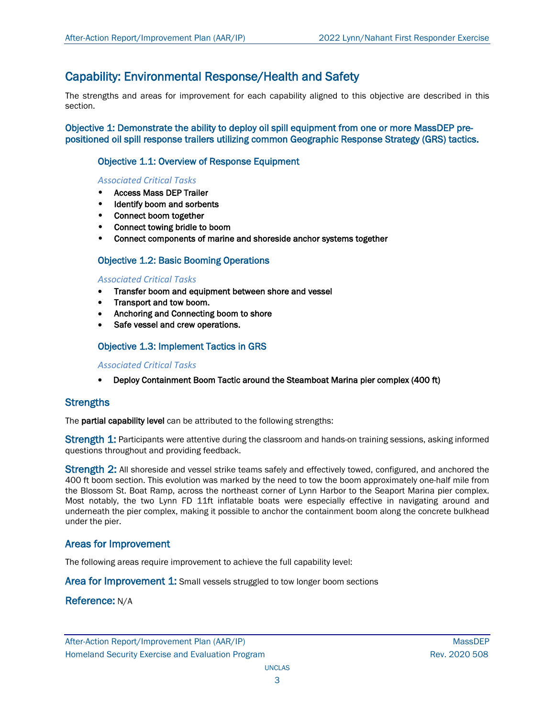## Capability: Environmental Response/Health and Safety

The strengths and areas for improvement for each capability aligned to this objective are described in this section.

Objective 1: Demonstrate the ability to deploy oil spill equipment from one or more MassDEP prepositioned oil spill response trailers utilizing common Geographic Response Strategy (GRS) tactics.

## Objective 1.1: Overview of Response Equipment

## *Associated Critical Tasks*

- Access Mass DEP Trailer
- Identify boom and sorbents
- Connect boom together
- Connect towing bridle to boom
- Connect components of marine and shoreside anchor systems together

## Objective 1.2: Basic Booming Operations

#### *Associated Critical Tasks*

- Transfer boom and equipment between shore and vessel
- Transport and tow boom.
- Anchoring and Connecting boom to shore
- Safe vessel and crew operations.

## Objective 1.3: Implement Tactics in GRS

#### *Associated Critical Tasks*

• Deploy Containment Boom Tactic around the Steamboat Marina pier complex (400 ft)

## **Strengths**

The partial capability level can be attributed to the following strengths:

Strength 1: Participants were attentive during the classroom and hands-on training sessions, asking informed questions throughout and providing feedback.

Strength 2: All shoreside and vessel strike teams safely and effectively towed, configured, and anchored the 400 ft boom section. This evolution was marked by the need to tow the boom approximately one-half mile from the Blossom St. Boat Ramp, across the northeast corner of Lynn Harbor to the Seaport Marina pier complex. Most notably, the two Lynn FD 11ft inflatable boats were especially effective in navigating around and underneath the pier complex, making it possible to anchor the containment boom along the concrete bulkhead under the pier.

## Areas for Improvement

The following areas require improvement to achieve the full capability level:

Area for Improvement 1: Small vessels struggled to tow longer boom sections

## Reference: N/A

After-Action Report/Improvement Plan (AAR/IP) NassDEP After-Action Report/Improvement Plan (AAR/IP) Homeland Security Exercise and Evaluation Program **Rev. 2020 508** Rev. 2020 508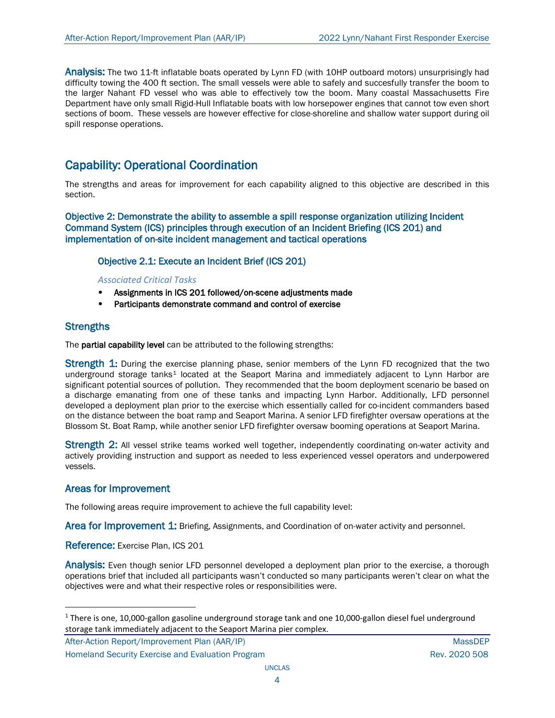Analysis: The two 11-ft inflatable boats operated by Lynn FD (with 10HP outboard motors) unsurprisingly had difficulty towing the 400 ft section. The small vessels were able to safely and succesfully transfer the boom to the larger Nahant FD vessel who was able to effectively tow the boom. Many coastal Massachusetts Fire Department have only small Rigid-Hull Inflatable boats with low horsepower engines that cannot tow even short sections of boom. These vessels are however effective for close-shoreline and shallow water support during oil spill response operations.

## Capability: Operational Coordination

The strengths and areas for improvement for each capability aligned to this objective are described in this section.

Objective 2: Demonstrate the ability to assemble a spill response organization utilizing Incident Command System (ICS) principles through execution of an Incident Briefing (ICS 201) and implementation of on-site incident management and tactical operations

## Objective 2.1: Execute an Incident Brief (ICS 201)

#### *Associated Critical Tasks*

- Assignments in ICS 201 followed/on-scene adjustments made
- Participants demonstrate command and control of exercise

## **Strengths**

The **partial capability level** can be attributed to the following strengths:

**Strength 1:** During the exercise planning phase, senior members of the Lynn FD recognized that the two underground storage tanks<sup>[1](#page-7-0)</sup> located at the Seaport Marina and immediately adjacent to Lynn Harbor are significant potential sources of pollution. They recommended that the boom deployment scenario be based on a discharge emanating from one of these tanks and impacting Lynn Harbor. Additionally, LFD personnel developed a deployment plan prior to the exercise which essentially called for co-incident commanders based on the distance between the boat ramp and Seaport Marina. A senior LFD firefighter oversaw operations at the Blossom St. Boat Ramp, while another senior LFD firefighter oversaw booming operations at Seaport Marina.

Strength 2: All vessel strike teams worked well together, independently coordinating on-water activity and actively providing instruction and support as needed to less experienced vessel operators and underpowered vessels.

## Areas for Improvement

The following areas require improvement to achieve the full capability level:

Area for Improvement 1: Briefing, Assignments, and Coordination of on-water activity and personnel.

Reference: Exercise Plan, ICS 201

Analysis: Even though senior LFD personnel developed a deployment plan prior to the exercise, a thorough operations brief that included all participants wasn't conducted so many participants weren't clear on what the objectives were and what their respective roles or responsibilities were.

<span id="page-7-0"></span> $1$  There is one, 10,000-gallon gasoline underground storage tank and one 10,000-gallon diesel fuel underground storage tank immediately adjacent to the Seaport Marina pier complex.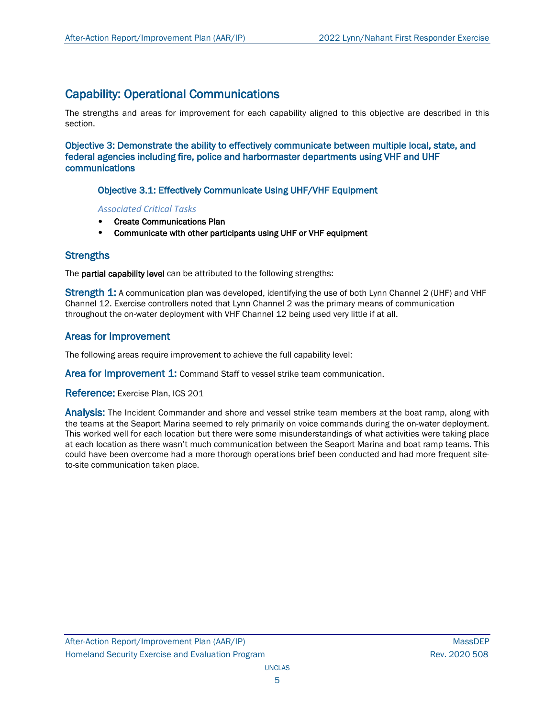## Capability: Operational Communications

The strengths and areas for improvement for each capability aligned to this objective are described in this section.

Objective 3: Demonstrate the ability to effectively communicate between multiple local, state, and federal agencies including fire, police and harbormaster departments using VHF and UHF communications

## Objective 3.1: Effectively Communicate Using UHF/VHF Equipment

*Associated Critical Tasks*

- Create Communications Plan
- Communicate with other participants using UHF or VHF equipment

## **Strengths**

The partial capability level can be attributed to the following strengths:

Strength 1: A communication plan was developed, identifying the use of both Lynn Channel 2 (UHF) and VHF Channel 12. Exercise controllers noted that Lynn Channel 2 was the primary means of communication throughout the on-water deployment with VHF Channel 12 being used very little if at all.

## Areas for Improvement

The following areas require improvement to achieve the full capability level:

Area for Improvement 1: Command Staff to vessel strike team communication.

Reference: Exercise Plan, ICS 201

Analysis: The Incident Commander and shore and vessel strike team members at the boat ramp, along with the teams at the Seaport Marina seemed to rely primarily on voice commands during the on-water deployment. This worked well for each location but there were some misunderstandings of what activities were taking place at each location as there wasn't much communication between the Seaport Marina and boat ramp teams. This could have been overcome had a more thorough operations brief been conducted and had more frequent siteto-site communication taken place.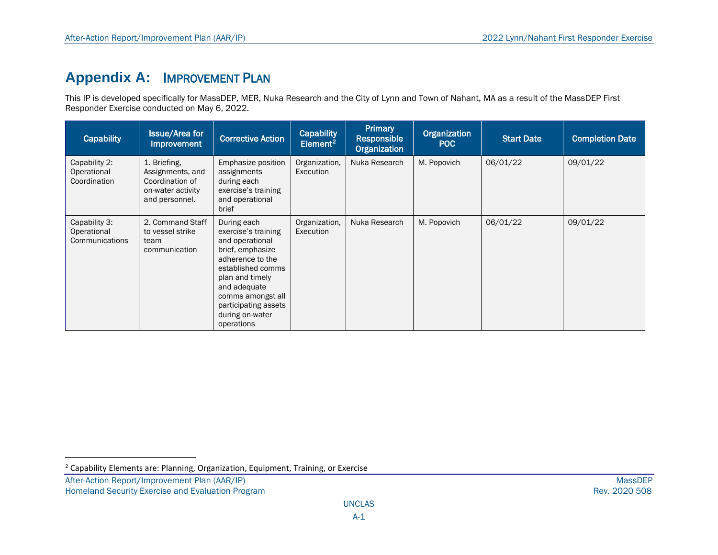# <span id="page-9-0"></span>**Appendix A:** IMPROVEMENT PLAN

This IP is developed specifically for MassDEP, MER, Nuka Research and the City of Lynn and Town of Nahant, MA as a result of the MassDEP First Responder Exercise conducted on May 6, 2022.

| Capability                                     | <b>Issue/Area for</b><br>Improvement                                                       | <b>Corrective Action</b>                                                                                                                                                                                                            | Capability<br>Element <sup>2</sup> | <b>Primary</b><br>Responsible<br>Organization | Organization<br><b>POC</b> | <b>Start Date</b> | <b>Completion Date</b> |
|------------------------------------------------|--------------------------------------------------------------------------------------------|-------------------------------------------------------------------------------------------------------------------------------------------------------------------------------------------------------------------------------------|------------------------------------|-----------------------------------------------|----------------------------|-------------------|------------------------|
| Capability 2:<br>Operational<br>Coordination   | 1. Briefing,<br>Assignments, and<br>Coordination of<br>on-water activity<br>and personnel. | Emphasize position<br>assignments<br>during each<br>exercise's training<br>and operational<br>brief                                                                                                                                 | Organization,<br>Execution         | Nuka Research                                 | M. Popovich                | 06/01/22          | 09/01/22               |
| Capability 3:<br>Operational<br>Communications | 2. Command Staff<br>to vessel strike<br>team<br>communication                              | During each<br>exercise's training<br>and operational<br>brief, emphasize<br>adherence to the<br>established comms<br>plan and timely<br>and adequate<br>comms amongst all<br>participating assets<br>during on-water<br>operations | Organization,<br>Execution         | Nuka Research                                 | M. Popovich                | 06/01/22          | 09/01/22               |

 $2$  Capability Elements are: Planning, Organization, Equipment, Training, or Exercise

After-Action Report/Improvement Plan (AAR/IP) MassDEP<br>Homeland Security Exercise and Evaluation Program and the state of the state of the state of the state of the Rev. 2020 508 Homeland Security Exercise and Evaluation Program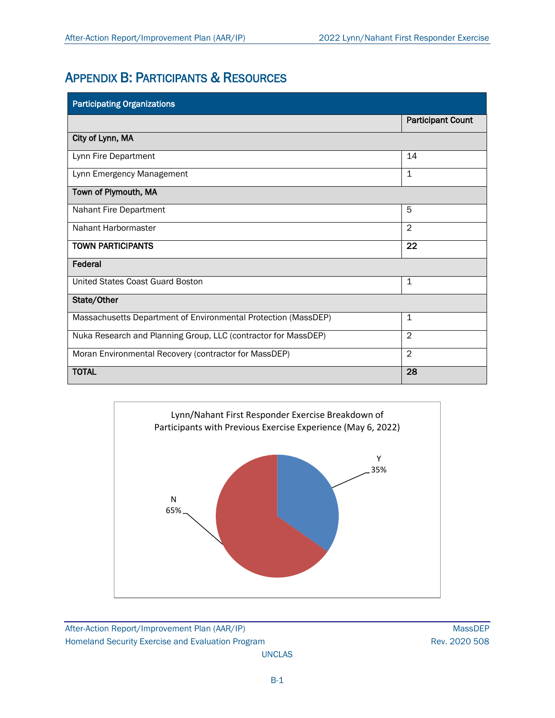## APPENDIX B: PARTICIPANTS & RESOURCES

| <b>Participating Organizations</b>                             |                          |
|----------------------------------------------------------------|--------------------------|
|                                                                | <b>Participant Count</b> |
| City of Lynn, MA                                               |                          |
| Lynn Fire Department                                           | 14                       |
| Lynn Emergency Management                                      | $\mathbf{1}$             |
| Town of Plymouth, MA                                           |                          |
| Nahant Fire Department                                         | 5                        |
| Nahant Harbormaster                                            | 2                        |
| <b>TOWN PARTICIPANTS</b>                                       | 22                       |
| Federal                                                        |                          |
| United States Coast Guard Boston                               | 1                        |
| State/Other                                                    |                          |
| Massachusetts Department of Environmental Protection (MassDEP) | $\mathbf 1$              |
| Nuka Research and Planning Group, LLC (contractor for MassDEP) | $\overline{2}$           |
| Moran Environmental Recovery (contractor for MassDEP)          | $\overline{2}$           |
| <b>TOTAL</b>                                                   | 28                       |

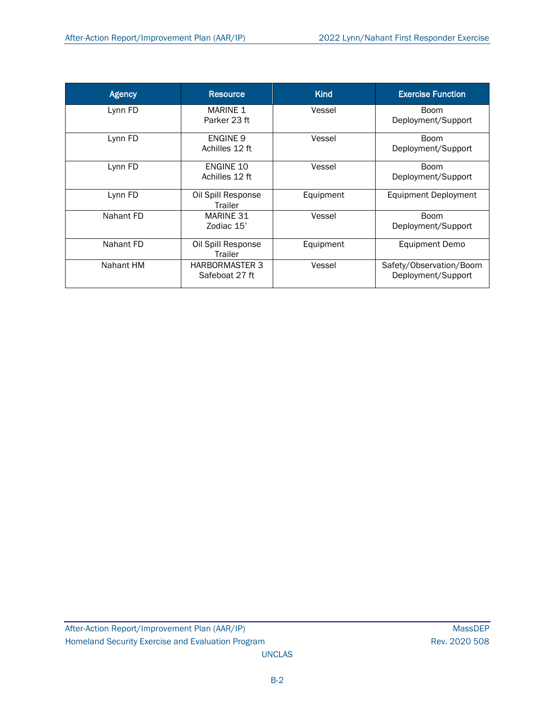| <b>Agency</b> | <b>Resource</b>                         | <b>Kind</b> | <b>Exercise Function</b>                      |
|---------------|-----------------------------------------|-------------|-----------------------------------------------|
| Lynn FD       | <b>MARINE 1</b><br>Parker 23 ft         | Vessel      | <b>Boom</b><br>Deployment/Support             |
| Lynn FD       | ENGINE 9<br>Achilles 12 ft              | Vessel      | <b>Boom</b><br>Deployment/Support             |
| Lynn FD       | <b>ENGINE 10</b><br>Achilles 12 ft      | Vessel      | <b>Boom</b><br>Deployment/Support             |
| Lynn FD       | Oil Spill Response<br>Trailer           | Equipment   | Equipment Deployment                          |
| Nahant FD     | MARINE 31<br>Zodiac 15'                 | Vessel      | <b>Boom</b><br>Deployment/Support             |
| Nahant FD     | Oil Spill Response<br>Trailer           | Equipment   | Equipment Demo                                |
| Nahant HM     | <b>HARBORMASTER 3</b><br>Safeboat 27 ft | Vessel      | Safety/Observation/Boom<br>Deployment/Support |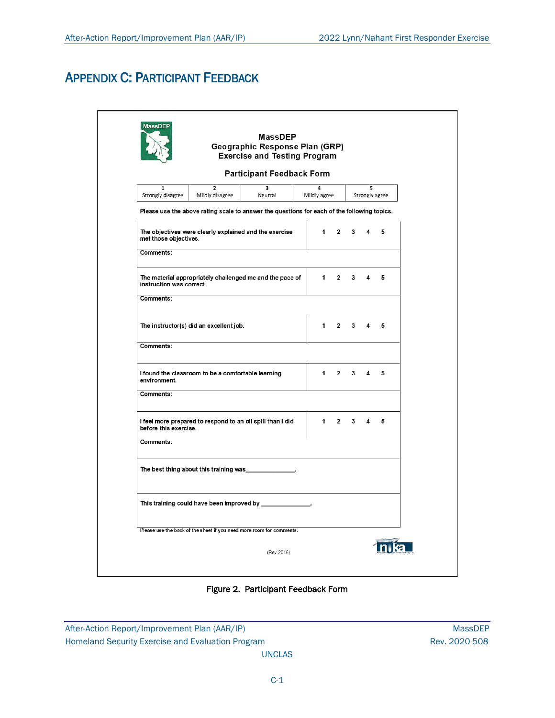# APPENDIX C: PARTICIPANT FEEDBACK

| <b>MassDEP</b>                                                                              | <b>MassDEP</b><br>Geographic Response Plan (GRP)<br><b>Exercise and Testing Program</b> |                   |                |             |   |                |
|---------------------------------------------------------------------------------------------|-----------------------------------------------------------------------------------------|-------------------|----------------|-------------|---|----------------|
|                                                                                             | <b>Participant Feedback Form</b>                                                        |                   |                |             |   |                |
| $\overline{2}$<br>$\mathbf{1}$<br>Mildly disagree<br>Strongly disagree                      | $\overline{\mathbf{3}}$<br>Neutral                                                      | 4<br>Mildly agree |                |             | 5 | Strongly agree |
| Please use the above rating scale to answer the questions for each of the following topics. |                                                                                         |                   |                |             |   |                |
| The objectives were clearly explained and the exercise<br>met those objectives.             |                                                                                         | 1                 | $\mathbf{2}$   | 3           | 4 | 5              |
| Comments:                                                                                   |                                                                                         |                   |                |             |   |                |
| The material appropriately challenged me and the pace of<br>instruction was correct.        |                                                                                         | $1 \quad$         | $\overline{2}$ | 3           | 4 | 5              |
| Comments:                                                                                   |                                                                                         |                   |                |             |   |                |
| The instructor(s) did an excellent job.                                                     |                                                                                         | $1 \quad$         |                | $2 \quad 3$ | 4 | 5              |
| Comments:                                                                                   |                                                                                         |                   |                |             |   |                |
| I found the classroom to be a comfortable learning<br>environment.                          |                                                                                         | 1                 | $2^{\circ}$    | $3^{\circ}$ | 4 | 5              |
| Comments:                                                                                   |                                                                                         |                   |                |             |   |                |
| I feel more prepared to respond to an oil spill than I did<br>before this exercise.         |                                                                                         | 1                 | $\overline{2}$ | 3           | 4 | 5              |
| Comments:                                                                                   |                                                                                         |                   |                |             |   |                |
| The best thing about this training was ______________.                                      |                                                                                         |                   |                |             |   |                |
|                                                                                             |                                                                                         |                   |                |             |   |                |
| Please use the back of the sheet if you need more room for comments.                        |                                                                                         |                   |                |             |   |                |
|                                                                                             |                                                                                         |                   |                |             |   |                |

Figure 2. Participant Feedback Form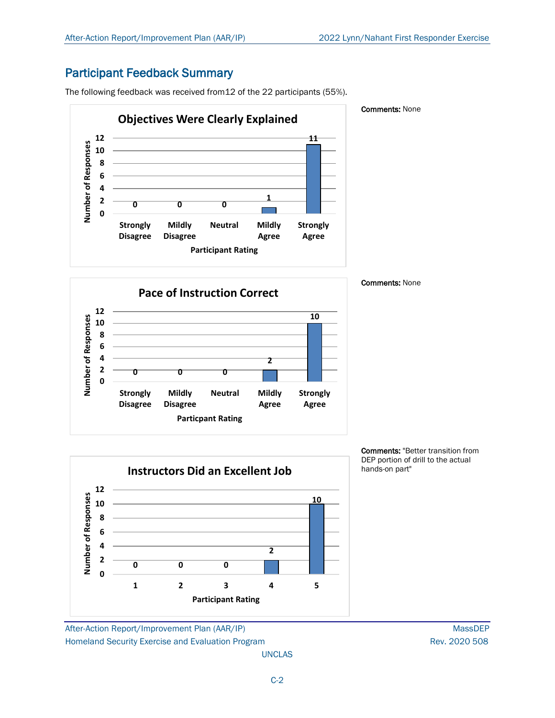## Participant Feedback Summary

The following feedback was received from12 of the 22 participants (55%).



#### Comments: None

Comments: None





Comments: "Better transition from DEP portion of drill to the actual hands-on part"

After-Action Report/Improvement Plan (AAR/IP) MassDEP Homeland Security Exercise and Evaluation Program **Rev. 2020 508** Rev. 2020 508